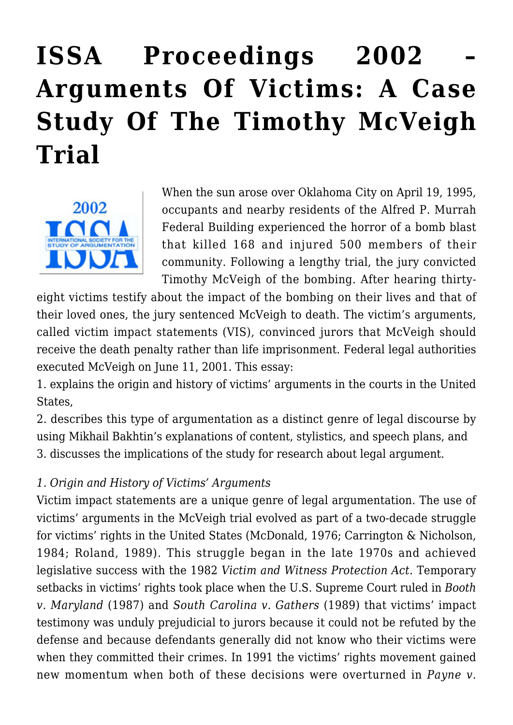# **[ISSA Proceedings 2002 –](https://rozenbergquarterly.com/issa-proceedings-2002-arguments-of-victims-a-case-study-of-the-timothy-mcveigh-trial/) [Arguments Of Victims: A Case](https://rozenbergquarterly.com/issa-proceedings-2002-arguments-of-victims-a-case-study-of-the-timothy-mcveigh-trial/) [Study Of The Timothy McVeigh](https://rozenbergquarterly.com/issa-proceedings-2002-arguments-of-victims-a-case-study-of-the-timothy-mcveigh-trial/) [Trial](https://rozenbergquarterly.com/issa-proceedings-2002-arguments-of-victims-a-case-study-of-the-timothy-mcveigh-trial/)**



When the sun arose over Oklahoma City on April 19, 1995, occupants and nearby residents of the Alfred P. Murrah Federal Building experienced the horror of a bomb blast that killed 168 and injured 500 members of their community. Following a lengthy trial, the jury convicted Timothy McVeigh of the bombing. After hearing thirty-

eight victims testify about the impact of the bombing on their lives and that of their loved ones, the jury sentenced McVeigh to death. The victim's arguments, called victim impact statements (VIS), convinced jurors that McVeigh should receive the death penalty rather than life imprisonment. Federal legal authorities executed McVeigh on June 11, 2001. This essay:

1. explains the origin and history of victims' arguments in the courts in the United States,

2. describes this type of argumentation as a distinct genre of legal discourse by using Mikhail Bakhtin's explanations of content, stylistics, and speech plans, and 3. discusses the implications of the study for research about legal argument.

## *1. Origin and History of Victims' Arguments*

Victim impact statements are a unique genre of legal argumentation. The use of victims' arguments in the McVeigh trial evolved as part of a two-decade struggle for victims' rights in the United States (McDonald, 1976; Carrington & Nicholson, 1984; Roland, 1989). This struggle began in the late 1970s and achieved legislative success with the 1982 *Victim and Witness Protection Act.* Temporary setbacks in victims' rights took place when the U.S. Supreme Court ruled in *Booth v. Maryland* (1987) and *South Carolina v. Gathers* (1989) that victims' impact testimony was unduly prejudicial to jurors because it could not be refuted by the defense and because defendants generally did not know who their victims were when they committed their crimes. In 1991 the victims' rights movement gained new momentum when both of these decisions were overturned in *Payne v.*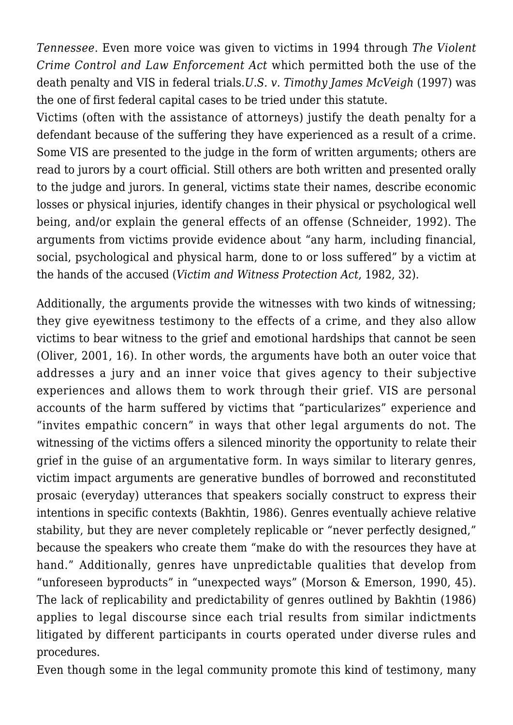*Tennessee*. Even more voice was given to victims in 1994 through *The Violent Crime Control and Law Enforcement Act* which permitted both the use of the death penalty and VIS in federal trials.*U.S. v. Timothy James McVeigh* (1997) was the one of first federal capital cases to be tried under this statute.

Victims (often with the assistance of attorneys) justify the death penalty for a defendant because of the suffering they have experienced as a result of a crime. Some VIS are presented to the judge in the form of written arguments; others are read to jurors by a court official. Still others are both written and presented orally to the judge and jurors. In general, victims state their names, describe economic losses or physical injuries, identify changes in their physical or psychological well being, and/or explain the general effects of an offense (Schneider, 1992). The arguments from victims provide evidence about "any harm, including financial, social, psychological and physical harm, done to or loss suffered" by a victim at the hands of the accused (*Victim and Witness Protection Act*, 1982, 32).

Additionally, the arguments provide the witnesses with two kinds of witnessing; they give eyewitness testimony to the effects of a crime, and they also allow victims to bear witness to the grief and emotional hardships that cannot be seen (Oliver, 2001, 16). In other words, the arguments have both an outer voice that addresses a jury and an inner voice that gives agency to their subjective experiences and allows them to work through their grief. VIS are personal accounts of the harm suffered by victims that "particularizes" experience and "invites empathic concern" in ways that other legal arguments do not. The witnessing of the victims offers a silenced minority the opportunity to relate their grief in the guise of an argumentative form. In ways similar to literary genres, victim impact arguments are generative bundles of borrowed and reconstituted prosaic (everyday) utterances that speakers socially construct to express their intentions in specific contexts (Bakhtin, 1986). Genres eventually achieve relative stability, but they are never completely replicable or "never perfectly designed," because the speakers who create them "make do with the resources they have at hand." Additionally, genres have unpredictable qualities that develop from "unforeseen byproducts" in "unexpected ways" (Morson & Emerson, 1990, 45). The lack of replicability and predictability of genres outlined by Bakhtin (1986) applies to legal discourse since each trial results from similar indictments litigated by different participants in courts operated under diverse rules and procedures.

Even though some in the legal community promote this kind of testimony, many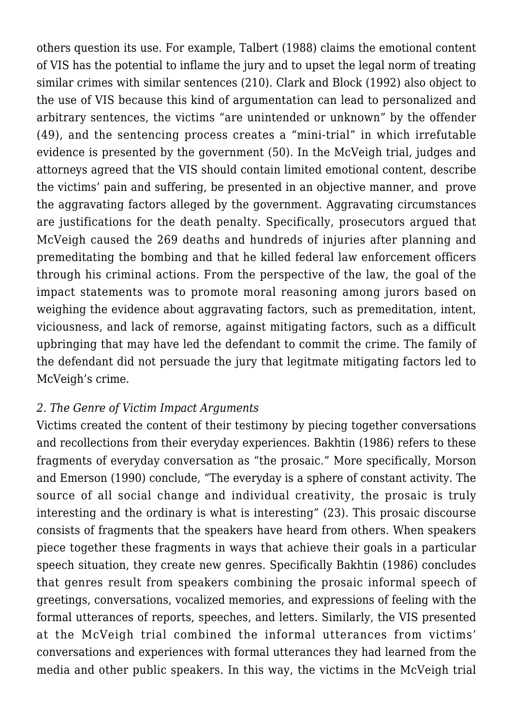others question its use. For example, Talbert (1988) claims the emotional content of VIS has the potential to inflame the jury and to upset the legal norm of treating similar crimes with similar sentences (210). Clark and Block (1992) also object to the use of VIS because this kind of argumentation can lead to personalized and arbitrary sentences, the victims "are unintended or unknown" by the offender (49), and the sentencing process creates a "mini-trial" in which irrefutable evidence is presented by the government (50). In the McVeigh trial, judges and attorneys agreed that the VIS should contain limited emotional content, describe the victims' pain and suffering, be presented in an objective manner, and prove the aggravating factors alleged by the government. Aggravating circumstances are justifications for the death penalty. Specifically, prosecutors argued that McVeigh caused the 269 deaths and hundreds of injuries after planning and premeditating the bombing and that he killed federal law enforcement officers through his criminal actions. From the perspective of the law, the goal of the impact statements was to promote moral reasoning among jurors based on weighing the evidence about aggravating factors, such as premeditation, intent, viciousness, and lack of remorse, against mitigating factors, such as a difficult upbringing that may have led the defendant to commit the crime. The family of the defendant did not persuade the jury that legitmate mitigating factors led to McVeigh's crime.

### *2. The Genre of Victim Impact Arguments*

Victims created the content of their testimony by piecing together conversations and recollections from their everyday experiences. Bakhtin (1986) refers to these fragments of everyday conversation as "the prosaic." More specifically, Morson and Emerson (1990) conclude, "The everyday is a sphere of constant activity. The source of all social change and individual creativity, the prosaic is truly interesting and the ordinary is what is interesting" (23). This prosaic discourse consists of fragments that the speakers have heard from others. When speakers piece together these fragments in ways that achieve their goals in a particular speech situation, they create new genres. Specifically Bakhtin (1986) concludes that genres result from speakers combining the prosaic informal speech of greetings, conversations, vocalized memories, and expressions of feeling with the formal utterances of reports, speeches, and letters. Similarly, the VIS presented at the McVeigh trial combined the informal utterances from victims' conversations and experiences with formal utterances they had learned from the media and other public speakers. In this way, the victims in the McVeigh trial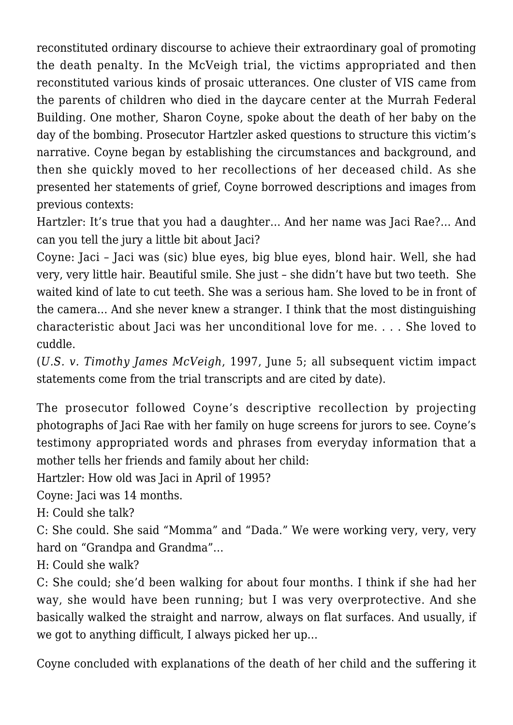reconstituted ordinary discourse to achieve their extraordinary goal of promoting the death penalty. In the McVeigh trial, the victims appropriated and then reconstituted various kinds of prosaic utterances. One cluster of VIS came from the parents of children who died in the daycare center at the Murrah Federal Building. One mother, Sharon Coyne, spoke about the death of her baby on the day of the bombing. Prosecutor Hartzler asked questions to structure this victim's narrative. Coyne began by establishing the circumstances and background, and then she quickly moved to her recollections of her deceased child. As she presented her statements of grief, Coyne borrowed descriptions and images from previous contexts:

Hartzler: It's true that you had a daughter… And her name was Jaci Rae?… And can you tell the jury a little bit about Jaci?

Coyne: Jaci – Jaci was (sic) blue eyes, big blue eyes, blond hair. Well, she had very, very little hair. Beautiful smile. She just – she didn't have but two teeth. She waited kind of late to cut teeth. She was a serious ham. She loved to be in front of the camera… And she never knew a stranger. I think that the most distinguishing characteristic about Jaci was her unconditional love for me. . . . She loved to cuddle.

(*U.S. v. Timothy James McVeigh*, 1997, June 5; all subsequent victim impact statements come from the trial transcripts and are cited by date).

The prosecutor followed Coyne's descriptive recollection by projecting photographs of Jaci Rae with her family on huge screens for jurors to see. Coyne's testimony appropriated words and phrases from everyday information that a mother tells her friends and family about her child:

Hartzler: How old was Jaci in April of 1995?

Coyne: Jaci was 14 months.

H: Could she talk?

C: She could. She said "Momma" and "Dada." We were working very, very, very hard on "Grandpa and Grandma"…

H: Could she walk?

C: She could; she'd been walking for about four months. I think if she had her way, she would have been running; but I was very overprotective. And she basically walked the straight and narrow, always on flat surfaces. And usually, if we got to anything difficult, I always picked her up…

Coyne concluded with explanations of the death of her child and the suffering it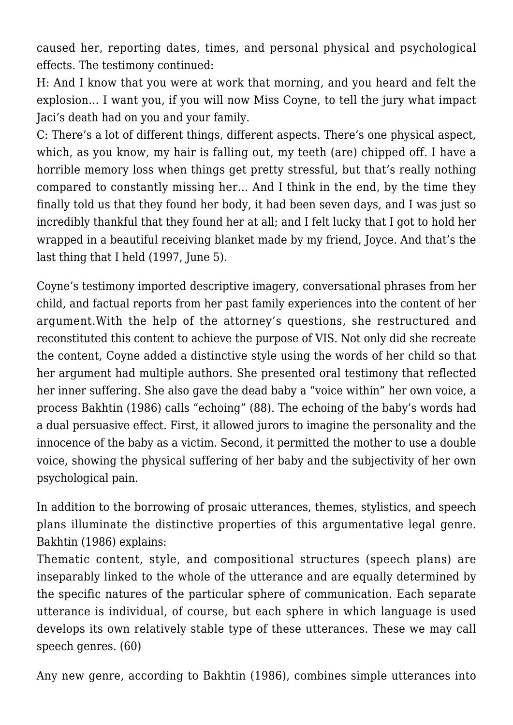caused her, reporting dates, times, and personal physical and psychological effects. The testimony continued:

H: And I know that you were at work that morning, and you heard and felt the explosion… I want you, if you will now Miss Coyne, to tell the jury what impact Jaci's death had on you and your family.

C: There's a lot of different things, different aspects. There's one physical aspect, which, as you know, my hair is falling out, my teeth (are) chipped off. I have a horrible memory loss when things get pretty stressful, but that's really nothing compared to constantly missing her… And I think in the end, by the time they finally told us that they found her body, it had been seven days, and I was just so incredibly thankful that they found her at all; and I felt lucky that I got to hold her wrapped in a beautiful receiving blanket made by my friend, Joyce. And that's the last thing that I held (1997, June 5).

Coyne's testimony imported descriptive imagery, conversational phrases from her child, and factual reports from her past family experiences into the content of her argument.With the help of the attorney's questions, she restructured and reconstituted this content to achieve the purpose of VIS. Not only did she recreate the content, Coyne added a distinctive style using the words of her child so that her argument had multiple authors. She presented oral testimony that reflected her inner suffering. She also gave the dead baby a "voice within" her own voice, a process Bakhtin (1986) calls "echoing" (88). The echoing of the baby's words had a dual persuasive effect. First, it allowed jurors to imagine the personality and the innocence of the baby as a victim. Second, it permitted the mother to use a double voice, showing the physical suffering of her baby and the subjectivity of her own psychological pain.

In addition to the borrowing of prosaic utterances, themes, stylistics, and speech plans illuminate the distinctive properties of this argumentative legal genre. Bakhtin (1986) explains:

Thematic content, style, and compositional structures (speech plans) are inseparably linked to the whole of the utterance and are equally determined by the specific natures of the particular sphere of communication. Each separate utterance is individual, of course, but each sphere in which language is used develops its own relatively stable type of these utterances. These we may call speech genres. (60)

Any new genre, according to Bakhtin (1986), combines simple utterances into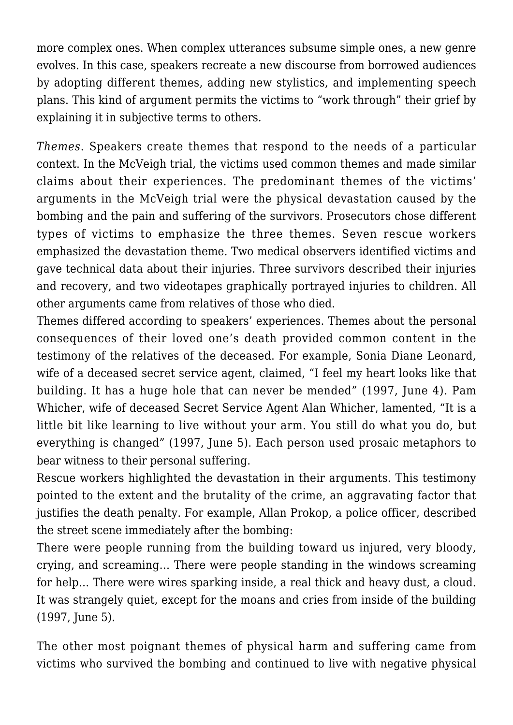more complex ones. When complex utterances subsume simple ones, a new genre evolves. In this case, speakers recreate a new discourse from borrowed audiences by adopting different themes, adding new stylistics, and implementing speech plans. This kind of argument permits the victims to "work through" their grief by explaining it in subjective terms to others.

*Themes*. Speakers create themes that respond to the needs of a particular context. In the McVeigh trial, the victims used common themes and made similar claims about their experiences. The predominant themes of the victims' arguments in the McVeigh trial were the physical devastation caused by the bombing and the pain and suffering of the survivors. Prosecutors chose different types of victims to emphasize the three themes. Seven rescue workers emphasized the devastation theme. Two medical observers identified victims and gave technical data about their injuries. Three survivors described their injuries and recovery, and two videotapes graphically portrayed injuries to children. All other arguments came from relatives of those who died.

Themes differed according to speakers' experiences. Themes about the personal consequences of their loved one's death provided common content in the testimony of the relatives of the deceased. For example, Sonia Diane Leonard, wife of a deceased secret service agent, claimed, "I feel my heart looks like that building. It has a huge hole that can never be mended" (1997, June 4). Pam Whicher, wife of deceased Secret Service Agent Alan Whicher, lamented, "It is a little bit like learning to live without your arm. You still do what you do, but everything is changed" (1997, June 5). Each person used prosaic metaphors to bear witness to their personal suffering.

Rescue workers highlighted the devastation in their arguments. This testimony pointed to the extent and the brutality of the crime, an aggravating factor that justifies the death penalty. For example, Allan Prokop, a police officer, described the street scene immediately after the bombing:

There were people running from the building toward us injured, very bloody, crying, and screaming… There were people standing in the windows screaming for help… There were wires sparking inside, a real thick and heavy dust, a cloud. It was strangely quiet, except for the moans and cries from inside of the building (1997, June 5).

The other most poignant themes of physical harm and suffering came from victims who survived the bombing and continued to live with negative physical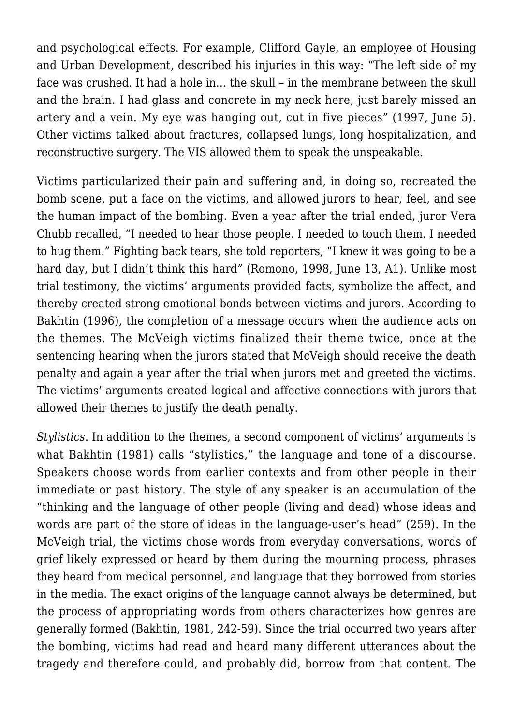and psychological effects. For example, Clifford Gayle, an employee of Housing and Urban Development, described his injuries in this way: "The left side of my face was crushed. It had a hole in… the skull – in the membrane between the skull and the brain. I had glass and concrete in my neck here, just barely missed an artery and a vein. My eye was hanging out, cut in five pieces" (1997, June 5). Other victims talked about fractures, collapsed lungs, long hospitalization, and reconstructive surgery. The VIS allowed them to speak the unspeakable.

Victims particularized their pain and suffering and, in doing so, recreated the bomb scene, put a face on the victims, and allowed jurors to hear, feel, and see the human impact of the bombing. Even a year after the trial ended, juror Vera Chubb recalled, "I needed to hear those people. I needed to touch them. I needed to hug them." Fighting back tears, she told reporters, "I knew it was going to be a hard day, but I didn't think this hard" (Romono, 1998, June 13, A1). Unlike most trial testimony, the victims' arguments provided facts, symbolize the affect, and thereby created strong emotional bonds between victims and jurors. According to Bakhtin (1996), the completion of a message occurs when the audience acts on the themes. The McVeigh victims finalized their theme twice, once at the sentencing hearing when the jurors stated that McVeigh should receive the death penalty and again a year after the trial when jurors met and greeted the victims. The victims' arguments created logical and affective connections with jurors that allowed their themes to justify the death penalty.

*Stylistics*. In addition to the themes, a second component of victims' arguments is what Bakhtin (1981) calls "stylistics," the language and tone of a discourse. Speakers choose words from earlier contexts and from other people in their immediate or past history. The style of any speaker is an accumulation of the "thinking and the language of other people (living and dead) whose ideas and words are part of the store of ideas in the language-user's head" (259). In the McVeigh trial, the victims chose words from everyday conversations, words of grief likely expressed or heard by them during the mourning process, phrases they heard from medical personnel, and language that they borrowed from stories in the media. The exact origins of the language cannot always be determined, but the process of appropriating words from others characterizes how genres are generally formed (Bakhtin, 1981, 242-59). Since the trial occurred two years after the bombing, victims had read and heard many different utterances about the tragedy and therefore could, and probably did, borrow from that content. The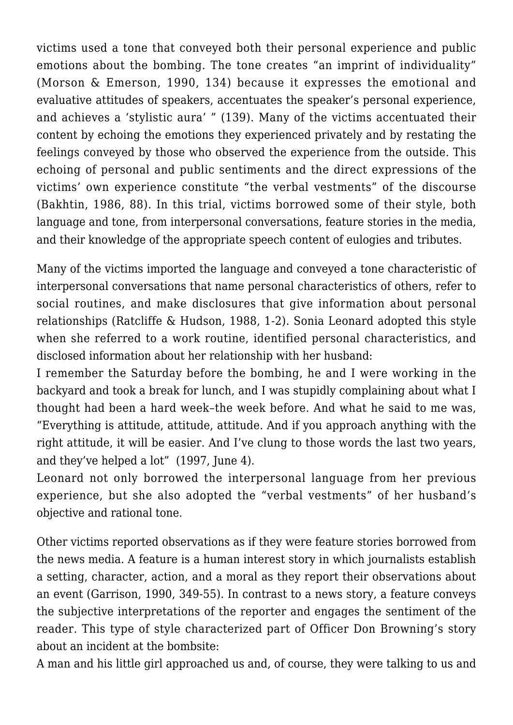victims used a tone that conveyed both their personal experience and public emotions about the bombing. The tone creates "an imprint of individuality" (Morson & Emerson, 1990, 134) because it expresses the emotional and evaluative attitudes of speakers, accentuates the speaker's personal experience, and achieves a 'stylistic aura' " (139). Many of the victims accentuated their content by echoing the emotions they experienced privately and by restating the feelings conveyed by those who observed the experience from the outside. This echoing of personal and public sentiments and the direct expressions of the victims' own experience constitute "the verbal vestments" of the discourse (Bakhtin, 1986, 88). In this trial, victims borrowed some of their style, both language and tone, from interpersonal conversations, feature stories in the media, and their knowledge of the appropriate speech content of eulogies and tributes.

Many of the victims imported the language and conveyed a tone characteristic of interpersonal conversations that name personal characteristics of others, refer to social routines, and make disclosures that give information about personal relationships (Ratcliffe & Hudson, 1988, 1-2). Sonia Leonard adopted this style when she referred to a work routine, identified personal characteristics, and disclosed information about her relationship with her husband:

I remember the Saturday before the bombing, he and I were working in the backyard and took a break for lunch, and I was stupidly complaining about what I thought had been a hard week–the week before. And what he said to me was, "Everything is attitude, attitude, attitude. And if you approach anything with the right attitude, it will be easier. And I've clung to those words the last two years, and they've helped a lot" (1997, June 4).

Leonard not only borrowed the interpersonal language from her previous experience, but she also adopted the "verbal vestments" of her husband's objective and rational tone.

Other victims reported observations as if they were feature stories borrowed from the news media. A feature is a human interest story in which journalists establish a setting, character, action, and a moral as they report their observations about an event (Garrison, 1990, 349-55). In contrast to a news story, a feature conveys the subjective interpretations of the reporter and engages the sentiment of the reader. This type of style characterized part of Officer Don Browning's story about an incident at the bombsite:

A man and his little girl approached us and, of course, they were talking to us and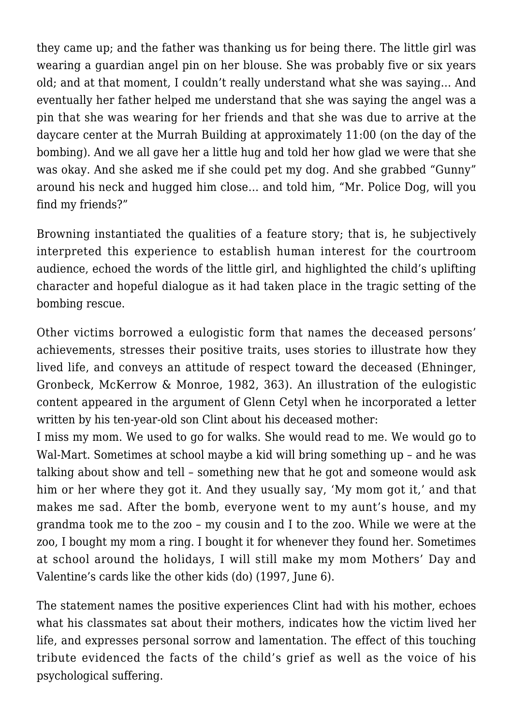they came up; and the father was thanking us for being there. The little girl was wearing a guardian angel pin on her blouse. She was probably five or six years old; and at that moment, I couldn't really understand what she was saying… And eventually her father helped me understand that she was saying the angel was a pin that she was wearing for her friends and that she was due to arrive at the daycare center at the Murrah Building at approximately 11:00 (on the day of the bombing). And we all gave her a little hug and told her how glad we were that she was okay. And she asked me if she could pet my dog. And she grabbed "Gunny" around his neck and hugged him close… and told him, "Mr. Police Dog, will you find my friends?"

Browning instantiated the qualities of a feature story; that is, he subjectively interpreted this experience to establish human interest for the courtroom audience, echoed the words of the little girl, and highlighted the child's uplifting character and hopeful dialogue as it had taken place in the tragic setting of the bombing rescue.

Other victims borrowed a eulogistic form that names the deceased persons' achievements, stresses their positive traits, uses stories to illustrate how they lived life, and conveys an attitude of respect toward the deceased (Ehninger, Gronbeck, McKerrow & Monroe, 1982, 363). An illustration of the eulogistic content appeared in the argument of Glenn Cetyl when he incorporated a letter written by his ten-year-old son Clint about his deceased mother:

I miss my mom. We used to go for walks. She would read to me. We would go to Wal-Mart. Sometimes at school maybe a kid will bring something up – and he was talking about show and tell – something new that he got and someone would ask him or her where they got it. And they usually say, 'My mom got it,' and that makes me sad. After the bomb, everyone went to my aunt's house, and my grandma took me to the zoo – my cousin and I to the zoo. While we were at the zoo, I bought my mom a ring. I bought it for whenever they found her. Sometimes at school around the holidays, I will still make my mom Mothers' Day and Valentine's cards like the other kids (do) (1997, June 6).

The statement names the positive experiences Clint had with his mother, echoes what his classmates sat about their mothers, indicates how the victim lived her life, and expresses personal sorrow and lamentation. The effect of this touching tribute evidenced the facts of the child's grief as well as the voice of his psychological suffering.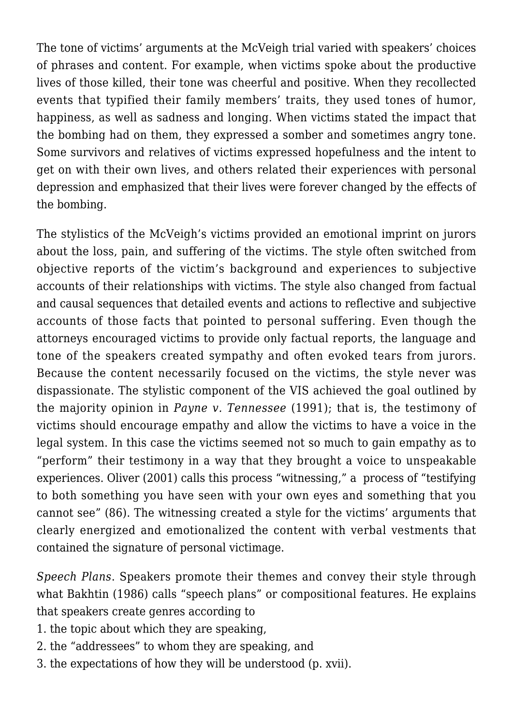The tone of victims' arguments at the McVeigh trial varied with speakers' choices of phrases and content. For example, when victims spoke about the productive lives of those killed, their tone was cheerful and positive. When they recollected events that typified their family members' traits, they used tones of humor, happiness, as well as sadness and longing. When victims stated the impact that the bombing had on them, they expressed a somber and sometimes angry tone. Some survivors and relatives of victims expressed hopefulness and the intent to get on with their own lives, and others related their experiences with personal depression and emphasized that their lives were forever changed by the effects of the bombing.

The stylistics of the McVeigh's victims provided an emotional imprint on jurors about the loss, pain, and suffering of the victims. The style often switched from objective reports of the victim's background and experiences to subjective accounts of their relationships with victims. The style also changed from factual and causal sequences that detailed events and actions to reflective and subjective accounts of those facts that pointed to personal suffering. Even though the attorneys encouraged victims to provide only factual reports, the language and tone of the speakers created sympathy and often evoked tears from jurors. Because the content necessarily focused on the victims, the style never was dispassionate. The stylistic component of the VIS achieved the goal outlined by the majority opinion in *Payne v. Tennessee* (1991); that is, the testimony of victims should encourage empathy and allow the victims to have a voice in the legal system. In this case the victims seemed not so much to gain empathy as to "perform" their testimony in a way that they brought a voice to unspeakable experiences. Oliver (2001) calls this process "witnessing," a process of "testifying to both something you have seen with your own eyes and something that you cannot see" (86). The witnessing created a style for the victims' arguments that clearly energized and emotionalized the content with verbal vestments that contained the signature of personal victimage.

*Speech Plans*. Speakers promote their themes and convey their style through what Bakhtin (1986) calls "speech plans" or compositional features. He explains that speakers create genres according to

- 1. the topic about which they are speaking,
- 2. the "addressees" to whom they are speaking, and
- 3. the expectations of how they will be understood (p. xvii).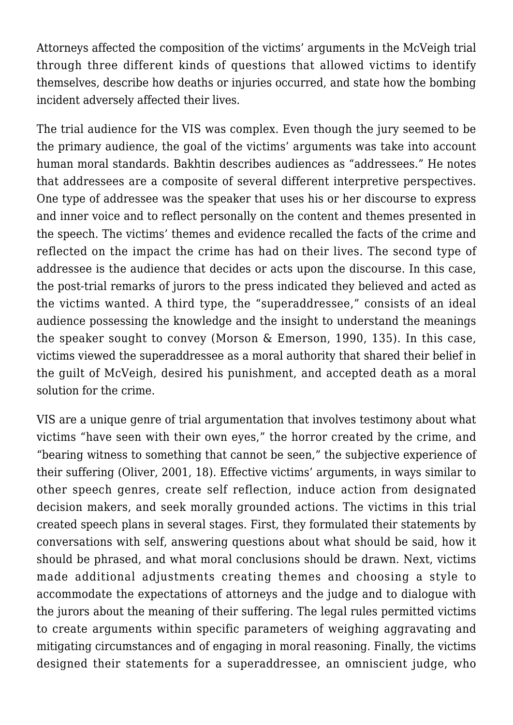Attorneys affected the composition of the victims' arguments in the McVeigh trial through three different kinds of questions that allowed victims to identify themselves, describe how deaths or injuries occurred, and state how the bombing incident adversely affected their lives.

The trial audience for the VIS was complex. Even though the jury seemed to be the primary audience, the goal of the victims' arguments was take into account human moral standards. Bakhtin describes audiences as "addressees." He notes that addressees are a composite of several different interpretive perspectives. One type of addressee was the speaker that uses his or her discourse to express and inner voice and to reflect personally on the content and themes presented in the speech. The victims' themes and evidence recalled the facts of the crime and reflected on the impact the crime has had on their lives. The second type of addressee is the audience that decides or acts upon the discourse. In this case, the post-trial remarks of jurors to the press indicated they believed and acted as the victims wanted. A third type, the "superaddressee," consists of an ideal audience possessing the knowledge and the insight to understand the meanings the speaker sought to convey (Morson & Emerson, 1990, 135). In this case, victims viewed the superaddressee as a moral authority that shared their belief in the guilt of McVeigh, desired his punishment, and accepted death as a moral solution for the crime.

VIS are a unique genre of trial argumentation that involves testimony about what victims "have seen with their own eyes," the horror created by the crime, and "bearing witness to something that cannot be seen," the subjective experience of their suffering (Oliver, 2001, 18). Effective victims' arguments, in ways similar to other speech genres, create self reflection, induce action from designated decision makers, and seek morally grounded actions. The victims in this trial created speech plans in several stages. First, they formulated their statements by conversations with self, answering questions about what should be said, how it should be phrased, and what moral conclusions should be drawn. Next, victims made additional adjustments creating themes and choosing a style to accommodate the expectations of attorneys and the judge and to dialogue with the jurors about the meaning of their suffering. The legal rules permitted victims to create arguments within specific parameters of weighing aggravating and mitigating circumstances and of engaging in moral reasoning. Finally, the victims designed their statements for a superaddressee, an omniscient judge, who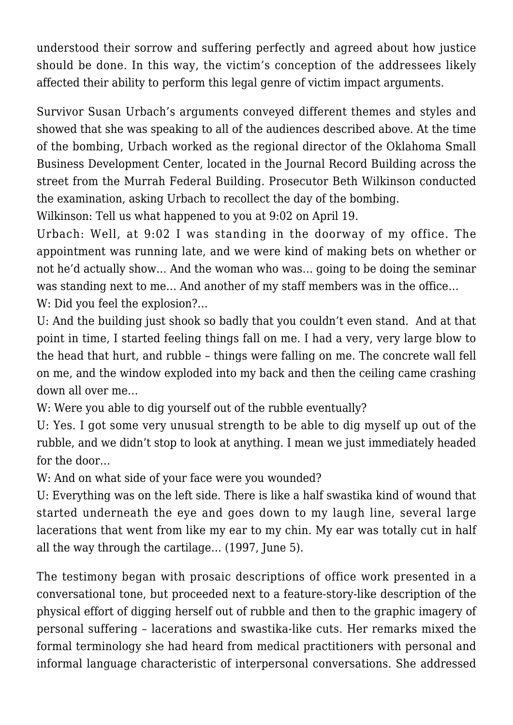understood their sorrow and suffering perfectly and agreed about how justice should be done. In this way, the victim's conception of the addressees likely affected their ability to perform this legal genre of victim impact arguments.

Survivor Susan Urbach's arguments conveyed different themes and styles and showed that she was speaking to all of the audiences described above. At the time of the bombing, Urbach worked as the regional director of the Oklahoma Small Business Development Center, located in the Journal Record Building across the street from the Murrah Federal Building. Prosecutor Beth Wilkinson conducted the examination, asking Urbach to recollect the day of the bombing.

Wilkinson: Tell us what happened to you at 9:02 on April 19.

Urbach: Well, at 9:02 I was standing in the doorway of my office. The appointment was running late, and we were kind of making bets on whether or not he'd actually show… And the woman who was… going to be doing the seminar was standing next to me… And another of my staff members was in the office… W: Did you feel the explosion?...

U: And the building just shook so badly that you couldn't even stand. And at that point in time, I started feeling things fall on me. I had a very, very large blow to the head that hurt, and rubble – things were falling on me. The concrete wall fell on me, and the window exploded into my back and then the ceiling came crashing down all over me…

W: Were you able to dig yourself out of the rubble eventually?

U: Yes. I got some very unusual strength to be able to dig myself up out of the rubble, and we didn't stop to look at anything. I mean we just immediately headed for the door…

W: And on what side of your face were you wounded?

U: Everything was on the left side. There is like a half swastika kind of wound that started underneath the eye and goes down to my laugh line, several large lacerations that went from like my ear to my chin. My ear was totally cut in half all the way through the cartilage… (1997, June 5).

The testimony began with prosaic descriptions of office work presented in a conversational tone, but proceeded next to a feature-story-like description of the physical effort of digging herself out of rubble and then to the graphic imagery of personal suffering – lacerations and swastika-like cuts. Her remarks mixed the formal terminology she had heard from medical practitioners with personal and informal language characteristic of interpersonal conversations. She addressed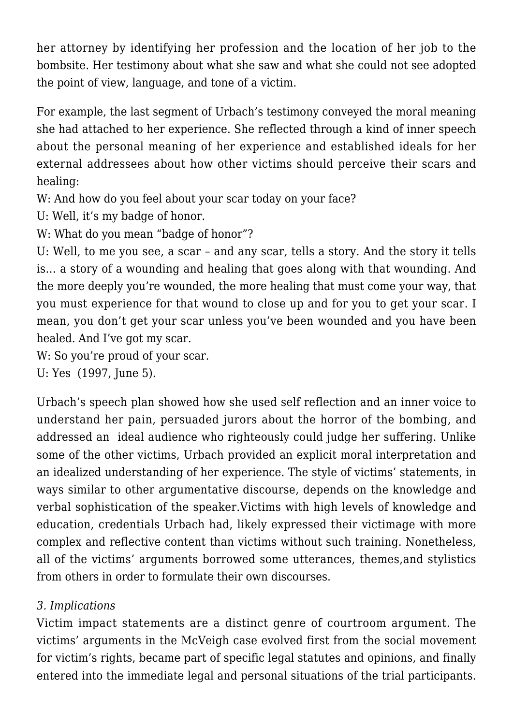her attorney by identifying her profession and the location of her job to the bombsite. Her testimony about what she saw and what she could not see adopted the point of view, language, and tone of a victim.

For example, the last segment of Urbach's testimony conveyed the moral meaning she had attached to her experience. She reflected through a kind of inner speech about the personal meaning of her experience and established ideals for her external addressees about how other victims should perceive their scars and healing:

W: And how do you feel about your scar today on your face?

U: Well, it's my badge of honor.

W: What do you mean "badge of honor"?

U: Well, to me you see, a scar – and any scar, tells a story. And the story it tells is… a story of a wounding and healing that goes along with that wounding. And the more deeply you're wounded, the more healing that must come your way, that you must experience for that wound to close up and for you to get your scar. I mean, you don't get your scar unless you've been wounded and you have been healed. And I've got my scar.

W: So you're proud of your scar.

U: Yes (1997, June 5).

Urbach's speech plan showed how she used self reflection and an inner voice to understand her pain, persuaded jurors about the horror of the bombing, and addressed an ideal audience who righteously could judge her suffering. Unlike some of the other victims, Urbach provided an explicit moral interpretation and an idealized understanding of her experience. The style of victims' statements, in ways similar to other argumentative discourse, depends on the knowledge and verbal sophistication of the speaker.Victims with high levels of knowledge and education, credentials Urbach had, likely expressed their victimage with more complex and reflective content than victims without such training. Nonetheless, all of the victims' arguments borrowed some utterances, themes,and stylistics from others in order to formulate their own discourses.

## *3. Implications*

Victim impact statements are a distinct genre of courtroom argument. The victims' arguments in the McVeigh case evolved first from the social movement for victim's rights, became part of specific legal statutes and opinions, and finally entered into the immediate legal and personal situations of the trial participants.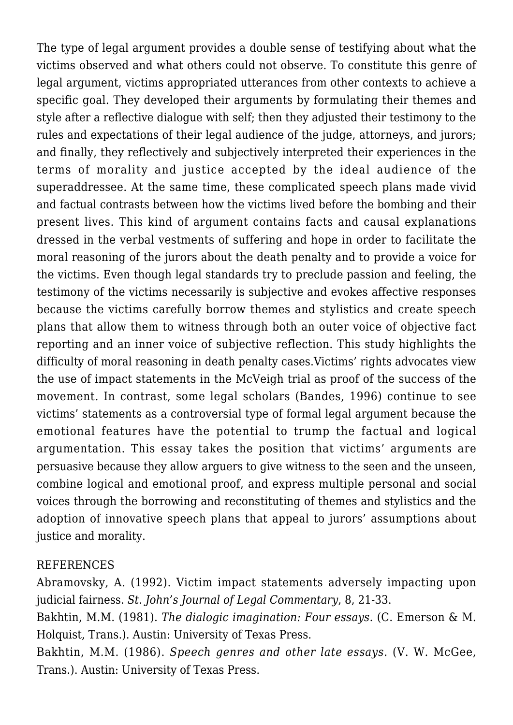The type of legal argument provides a double sense of testifying about what the victims observed and what others could not observe. To constitute this genre of legal argument, victims appropriated utterances from other contexts to achieve a specific goal. They developed their arguments by formulating their themes and style after a reflective dialogue with self; then they adjusted their testimony to the rules and expectations of their legal audience of the judge, attorneys, and jurors; and finally, they reflectively and subjectively interpreted their experiences in the terms of morality and justice accepted by the ideal audience of the superaddressee. At the same time, these complicated speech plans made vivid and factual contrasts between how the victims lived before the bombing and their present lives. This kind of argument contains facts and causal explanations dressed in the verbal vestments of suffering and hope in order to facilitate the moral reasoning of the jurors about the death penalty and to provide a voice for the victims. Even though legal standards try to preclude passion and feeling, the testimony of the victims necessarily is subjective and evokes affective responses because the victims carefully borrow themes and stylistics and create speech plans that allow them to witness through both an outer voice of objective fact reporting and an inner voice of subjective reflection. This study highlights the difficulty of moral reasoning in death penalty cases.Victims' rights advocates view the use of impact statements in the McVeigh trial as proof of the success of the movement. In contrast, some legal scholars (Bandes, 1996) continue to see victims' statements as a controversial type of formal legal argument because the emotional features have the potential to trump the factual and logical argumentation. This essay takes the position that victims' arguments are persuasive because they allow arguers to give witness to the seen and the unseen, combine logical and emotional proof, and express multiple personal and social voices through the borrowing and reconstituting of themes and stylistics and the adoption of innovative speech plans that appeal to jurors' assumptions about justice and morality.

#### REFERENCES

Abramovsky, A. (1992). Victim impact statements adversely impacting upon judicial fairness. *St. John's Journal of Legal Commentary*, 8, 21-33.

Bakhtin, M.M. (1981). *The dialogic imagination: Four essays.* (C. Emerson & M. Holquist, Trans.). Austin: University of Texas Press.

Bakhtin, M.M. (1986). *Speech genres and other late essays.* (V. W. McGee, Trans.). Austin: University of Texas Press.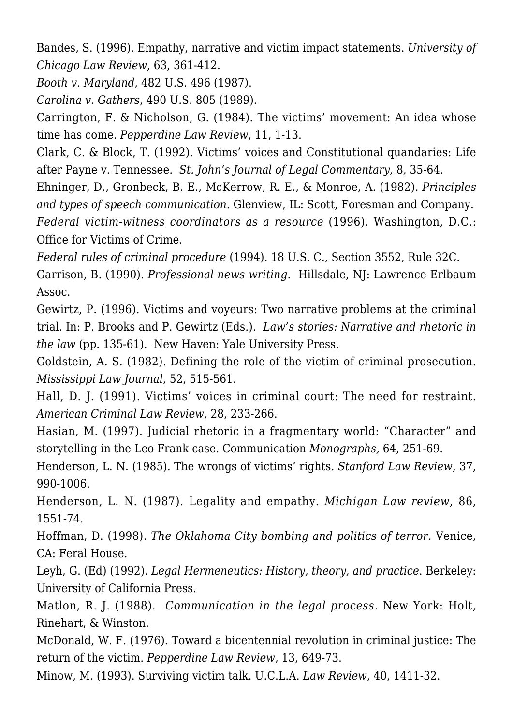Bandes, S. (1996). Empathy, narrative and victim impact statements. *University of Chicago Law Review*, 63, 361-412.

*Booth v. Maryland*, 482 U.S. 496 (1987).

*Carolina v. Gathers*, 490 U.S. 805 (1989).

Carrington, F. & Nicholson, G. (1984). The victims' movement: An idea whose time has come. *Pepperdine Law Review*, 11, 1-13.

Clark, C. & Block, T. (1992). Victims' voices and Constitutional quandaries: Life after Payne v. Tennessee. *St. John's Journal of Legal Commentary*, 8, 35-64.

Ehninger, D., Gronbeck, B. E., McKerrow, R. E., & Monroe, A. (1982)*. Principles and types of speech communication*. Glenview, IL: Scott, Foresman and Company. *Federal victim-witness coordinators as a resource* (1996). Washington, D.C.: Office for Victims of Crime.

*Federal rules of criminal procedure* (1994). 18 U.S. C., Section 3552, Rule 32C.

Garrison, B. (1990). *Professional news writing*. Hillsdale, NJ: Lawrence Erlbaum Assoc.

Gewirtz, P. (1996). Victims and voyeurs: Two narrative problems at the criminal trial. In: P. Brooks and P. Gewirtz (Eds.). *Law's stories: Narrative and rhetoric in the law* (pp. 135-61). New Haven: Yale University Press.

Goldstein, A. S. (1982). Defining the role of the victim of criminal prosecution. *Mississippi Law Journal*, 52, 515-561.

Hall, D. J. (1991). Victims' voices in criminal court: The need for restraint. *American Criminal Law Review*, 28, 233-266.

Hasian, M. (1997). Judicial rhetoric in a fragmentary world: "Character" and storytelling in the Leo Frank case. Communication *Monographs,* 64, 251-69.

Henderson, L. N. (1985). The wrongs of victims' rights. *Stanford Law Review*, 37, 990-1006.

Henderson, L. N. (1987). Legality and empathy. *Michigan Law review*, 86, 1551-74.

Hoffman, D. (1998). *The Oklahoma City bombing and politics of terror.* Venice, CA: Feral House.

Leyh, G. (Ed) (1992). *Legal Hermeneutics: History, theory, and practice*. Berkeley: University of California Press.

Matlon, R. J. (1988). *Communication in the legal process.* New York: Holt, Rinehart, & Winston.

McDonald, W. F. (1976). Toward a bicentennial revolution in criminal justice: The return of the victim. *Pepperdine Law Review,* 13, 649-73.

Minow, M. (1993). Surviving victim talk. U.C.L.A. *Law Review*, 40, 1411-32.